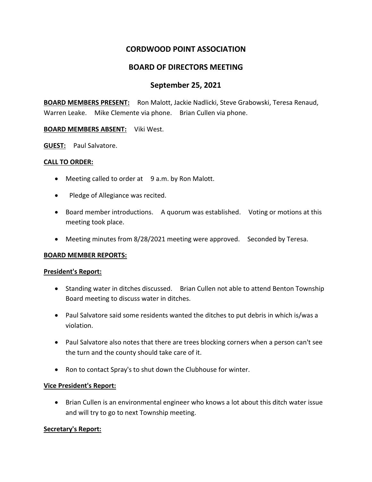# **CORDWOOD POINT ASSOCIATION**

## **BOARD OF DIRECTORS MEETING**

### **September 25, 2021**

**BOARD MEMBERS PRESENT:** Ron Malott, Jackie Nadlicki, Steve Grabowski, Teresa Renaud, Warren Leake. Mike Clemente via phone. Brian Cullen via phone.

### **BOARD MEMBERS ABSENT:** Viki West.

**GUEST:** Paul Salvatore.

#### **CALL TO ORDER:**

- Meeting called to order at 9 a.m. by Ron Malott.
- Pledge of Allegiance was recited.
- Board member introductions. A quorum was established. Voting or motions at this meeting took place.
- Meeting minutes from 8/28/2021 meeting were approved. Seconded by Teresa.

### **BOARD MEMBER REPORTS:**

#### **President's Report:**

- Standing water in ditches discussed. Brian Cullen not able to attend Benton Township Board meeting to discuss water in ditches.
- Paul Salvatore said some residents wanted the ditches to put debris in which is/was a violation.
- Paul Salvatore also notes that there are trees blocking corners when a person can't see the turn and the county should take care of it.
- Ron to contact Spray's to shut down the Clubhouse for winter.

### **Vice President's Report:**

• Brian Cullen is an environmental engineer who knows a lot about this ditch water issue and will try to go to next Township meeting.

### **Secretary's Report:**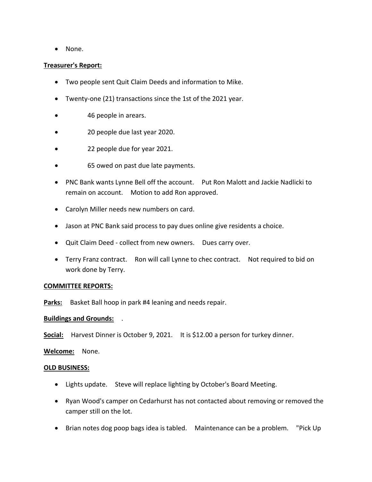• None.

### **Treasurer's Report:**

- Two people sent Quit Claim Deeds and information to Mike.
- Twenty-one (21) transactions since the 1st of the 2021 year.
- 46 people in arears.
- 20 people due last year 2020.
- 22 people due for year 2021.
- 65 owed on past due late payments.
- PNC Bank wants Lynne Bell off the account. Put Ron Malott and Jackie Nadlicki to remain on account. Motion to add Ron approved.
- Carolyn Miller needs new numbers on card.
- Jason at PNC Bank said process to pay dues online give residents a choice.
- Quit Claim Deed collect from new owners. Dues carry over.
- Terry Franz contract. Ron will call Lynne to chec contract. Not required to bid on work done by Terry.

### **COMMITTEE REPORTS:**

Parks: Basket Ball hoop in park #4 leaning and needs repair.

### **Buildings and Grounds:** .

**Social:** Harvest Dinner is October 9, 2021. It is \$12.00 a person for turkey dinner.

**Welcome:** None.

### **OLD BUSINESS:**

- Lights update. Steve will replace lighting by October's Board Meeting.
- Ryan Wood's camper on Cedarhurst has not contacted about removing or removed the camper still on the lot.
- Brian notes dog poop bags idea is tabled. Maintenance can be a problem. "Pick Up